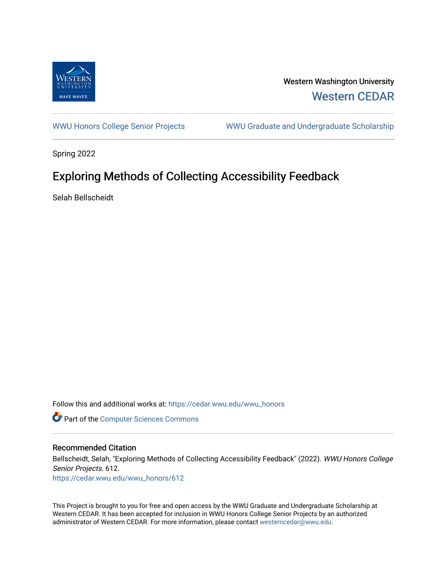

Western Washington University [Western CEDAR](https://cedar.wwu.edu/) 

[WWU Honors College Senior Projects](https://cedar.wwu.edu/wwu_honors) WWU Graduate and Undergraduate Scholarship

Spring 2022

# Exploring Methods of Collecting Accessibility Feedback

Selah Bellscheidt

Follow this and additional works at: [https://cedar.wwu.edu/wwu\\_honors](https://cedar.wwu.edu/wwu_honors?utm_source=cedar.wwu.edu%2Fwwu_honors%2F612&utm_medium=PDF&utm_campaign=PDFCoverPages) 

**Part of the [Computer Sciences Commons](https://network.bepress.com/hgg/discipline/142?utm_source=cedar.wwu.edu%2Fwwu_honors%2F612&utm_medium=PDF&utm_campaign=PDFCoverPages)** 

#### Recommended Citation

Bellscheidt, Selah, "Exploring Methods of Collecting Accessibility Feedback" (2022). WWU Honors College Senior Projects. 612. [https://cedar.wwu.edu/wwu\\_honors/612](https://cedar.wwu.edu/wwu_honors/612?utm_source=cedar.wwu.edu%2Fwwu_honors%2F612&utm_medium=PDF&utm_campaign=PDFCoverPages)

This Project is brought to you for free and open access by the WWU Graduate and Undergraduate Scholarship at Western CEDAR. It has been accepted for inclusion in WWU Honors College Senior Projects by an authorized administrator of Western CEDAR. For more information, please contact [westerncedar@wwu.edu](mailto:westerncedar@wwu.edu).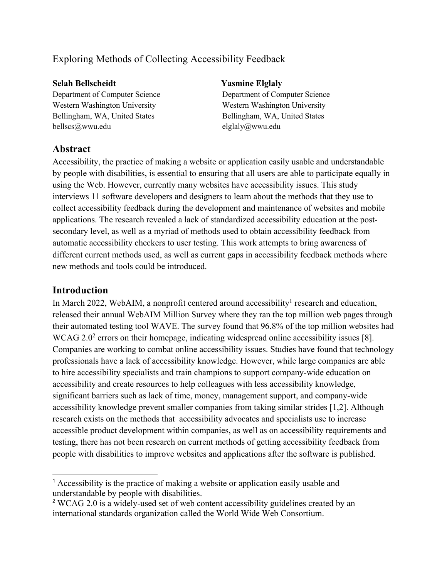## Exploring Methods of Collecting Accessibility Feedback

#### **Selah Bellscheidt Yasmine Elglaly**

Department of Computer Science Department of Computer Science Western Washington University Western Washington University Bellingham, WA, United States Bellingham, WA, United States bellscs@wwu.edu elglaly@wwu.edu

## **Abstract**

Accessibility, the practice of making a website or application easily usable and understandable by people with disabilities, is essential to ensuring that all users are able to participate equally in using the Web. However, currently many websites have accessibility issues. This study interviews 11 software developers and designers to learn about the methods that they use to collect accessibility feedback during the development and maintenance of websites and mobile applications. The research revealed a lack of standardized accessibility education at the postsecondary level, as well as a myriad of methods used to obtain accessibility feedback from automatic accessibility checkers to user testing. This work attempts to bring awareness of different current methods used, as well as current gaps in accessibility feedback methods where new methods and tools could be introduced.

## **Introduction**

In March 2022, WebAIM, a nonprofit centered around accessibility<sup>1</sup> research and education, released their annual WebAIM Million Survey where they ran the top million web pages through their automated testing tool WAVE. The survey found that 96.8% of the top million websites had WCAG 2.0<sup>2</sup> errors on their homepage, indicating widespread online accessibility issues [8]. Companies are working to combat online accessibility issues. Studies have found that technology professionals have a lack of accessibility knowledge. However, while large companies are able to hire accessibility specialists and train champions to support company-wide education on accessibility and create resources to help colleagues with less accessibility knowledge, significant barriers such as lack of time, money, management support, and company-wide accessibility knowledge prevent smaller companies from taking similar strides [1,2]. Although research exists on the methods that accessibility advocates and specialists use to increase accessible product development within companies, as well as on accessibility requirements and testing, there has not been research on current methods of getting accessibility feedback from people with disabilities to improve websites and applications after the software is published.

<sup>&</sup>lt;sup>1</sup> Accessibility is the practice of making a website or application easily usable and understandable by people with disabilities.

<sup>&</sup>lt;sup>2</sup> WCAG 2.0 is a widely-used set of web content accessibility guidelines created by an international standards organization called the World Wide Web Consortium.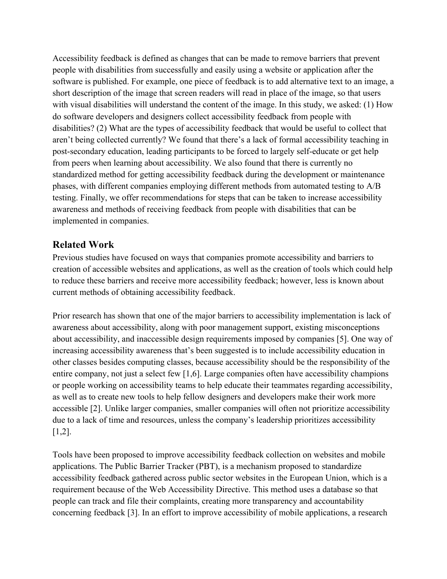Accessibility feedback is defined as changes that can be made to remove barriers that prevent people with disabilities from successfully and easily using a website or application after the software is published. For example, one piece of feedback is to add alternative text to an image, a short description of the image that screen readers will read in place of the image, so that users with visual disabilities will understand the content of the image. In this study, we asked: (1) How do software developers and designers collect accessibility feedback from people with disabilities? (2) What are the types of accessibility feedback that would be useful to collect that aren't being collected currently? We found that there's a lack of formal accessibility teaching in post-secondary education, leading participants to be forced to largely self-educate or get help from peers when learning about accessibility. We also found that there is currently no standardized method for getting accessibility feedback during the development or maintenance phases, with different companies employing different methods from automated testing to A/B testing. Finally, we offer recommendations for steps that can be taken to increase accessibility awareness and methods of receiving feedback from people with disabilities that can be implemented in companies.

## **Related Work**

Previous studies have focused on ways that companies promote accessibility and barriers to creation of accessible websites and applications, as well as the creation of tools which could help to reduce these barriers and receive more accessibility feedback; however, less is known about current methods of obtaining accessibility feedback.

Prior research has shown that one of the major barriers to accessibility implementation is lack of awareness about accessibility, along with poor management support, existing misconceptions about accessibility, and inaccessible design requirements imposed by companies [5]. One way of increasing accessibility awareness that's been suggested is to include accessibility education in other classes besides computing classes, because accessibility should be the responsibility of the entire company, not just a select few [1,6]. Large companies often have accessibility champions or people working on accessibility teams to help educate their teammates regarding accessibility, as well as to create new tools to help fellow designers and developers make their work more accessible [2]. Unlike larger companies, smaller companies will often not prioritize accessibility due to a lack of time and resources, unless the company's leadership prioritizes accessibility [1,2].

Tools have been proposed to improve accessibility feedback collection on websites and mobile applications. The Public Barrier Tracker (PBT), is a mechanism proposed to standardize accessibility feedback gathered across public sector websites in the European Union, which is a requirement because of the Web Accessibility Directive. This method uses a database so that people can track and file their complaints, creating more transparency and accountability concerning feedback [3]. In an effort to improve accessibility of mobile applications, a research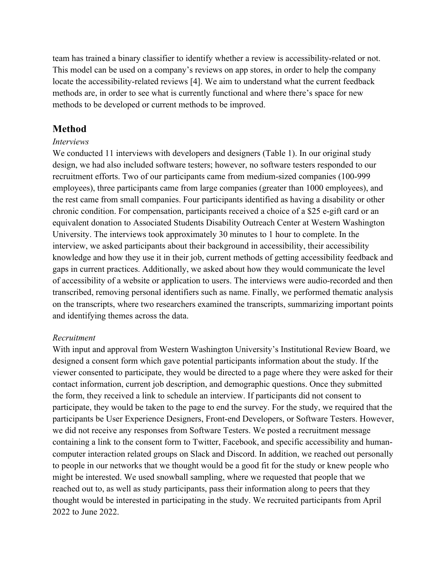team has trained a binary classifier to identify whether a review is accessibility-related or not. This model can be used on a company's reviews on app stores, in order to help the company locate the accessibility-related reviews [4]. We aim to understand what the current feedback methods are, in order to see what is currently functional and where there's space for new methods to be developed or current methods to be improved.

### **Method**

#### *Interviews*

We conducted 11 interviews with developers and designers (Table 1). In our original study design, we had also included software testers; however, no software testers responded to our recruitment efforts. Two of our participants came from medium-sized companies (100-999 employees), three participants came from large companies (greater than 1000 employees), and the rest came from small companies. Four participants identified as having a disability or other chronic condition. For compensation, participants received a choice of a \$25 e-gift card or an equivalent donation to Associated Students Disability Outreach Center at Western Washington University. The interviews took approximately 30 minutes to 1 hour to complete. In the interview, we asked participants about their background in accessibility, their accessibility knowledge and how they use it in their job, current methods of getting accessibility feedback and gaps in current practices. Additionally, we asked about how they would communicate the level of accessibility of a website or application to users. The interviews were audio-recorded and then transcribed, removing personal identifiers such as name. Finally, we performed thematic analysis on the transcripts, where two researchers examined the transcripts, summarizing important points and identifying themes across the data.

#### *Recruitment*

With input and approval from Western Washington University's Institutional Review Board, we designed a consent form which gave potential participants information about the study. If the viewer consented to participate, they would be directed to a page where they were asked for their contact information, current job description, and demographic questions. Once they submitted the form, they received a link to schedule an interview. If participants did not consent to participate, they would be taken to the page to end the survey. For the study, we required that the participants be User Experience Designers, Front-end Developers, or Software Testers. However, we did not receive any responses from Software Testers. We posted a recruitment message containing a link to the consent form to Twitter, Facebook, and specific accessibility and humancomputer interaction related groups on Slack and Discord. In addition, we reached out personally to people in our networks that we thought would be a good fit for the study or knew people who might be interested. We used snowball sampling, where we requested that people that we reached out to, as well as study participants, pass their information along to peers that they thought would be interested in participating in the study. We recruited participants from April 2022 to June 2022.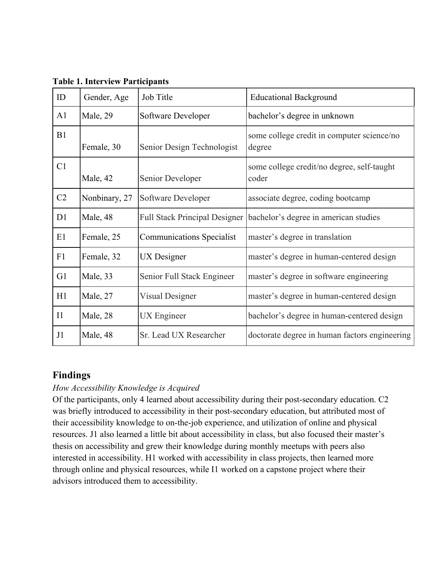| ID             | Gender, Age   | Job Title                            | <b>Educational Background</b>                        |
|----------------|---------------|--------------------------------------|------------------------------------------------------|
| A <sub>1</sub> | Male, 29      | Software Developer                   | bachelor's degree in unknown                         |
| B1             | Female, 30    | Senior Design Technologist           | some college credit in computer science/no<br>degree |
| C1             | Male, 42      | Senior Developer                     | some college credit/no degree, self-taught<br>coder  |
| C <sub>2</sub> | Nonbinary, 27 | Software Developer                   | associate degree, coding bootcamp                    |
| D1             | Male, 48      | <b>Full Stack Principal Designer</b> | bachelor's degree in american studies                |
| E1             | Female, 25    | <b>Communications Specialist</b>     | master's degree in translation                       |
| F1             | Female, 32    | UX Designer                          | master's degree in human-centered design             |
| G1             | Male, 33      | Senior Full Stack Engineer           | master's degree in software engineering              |
| H1             | Male, 27      | Visual Designer                      | master's degree in human-centered design             |
| I <sub>1</sub> | Male, 28      | UX Engineer                          | bachelor's degree in human-centered design           |
| J1             | Male, 48      | Sr. Lead UX Researcher               | doctorate degree in human factors engineering        |

**Table 1. Interview Participants**

## **Findings**

## *How Accessibility Knowledge is Acquired*

Of the participants, only 4 learned about accessibility during their post-secondary education. C2 was briefly introduced to accessibility in their post-secondary education, but attributed most of their accessibility knowledge to on-the-job experience, and utilization of online and physical resources. J1 also learned a little bit about accessibility in class, but also focused their master's thesis on accessibility and grew their knowledge during monthly meetups with peers also interested in accessibility. H1 worked with accessibility in class projects, then learned more through online and physical resources, while I1 worked on a capstone project where their advisors introduced them to accessibility.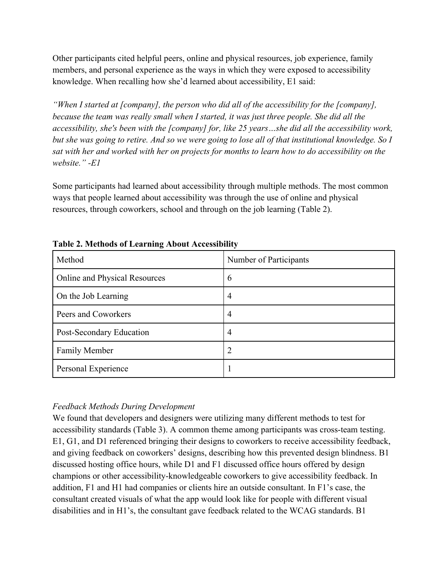Other participants cited helpful peers, online and physical resources, job experience, family members, and personal experience as the ways in which they were exposed to accessibility knowledge. When recalling how she'd learned about accessibility, E1 said:

*"When I started at [company], the person who did all of the accessibility for the [company], because the team was really small when I started, it was just three people. She did all the accessibility, she's been with the [company] for, like 25 years…she did all the accessibility work, but she was going to retire. And so we were going to lose all of that institutional knowledge. So I sat with her and worked with her on projects for months to learn how to do accessibility on the website." -E1*

Some participants had learned about accessibility through multiple methods. The most common ways that people learned about accessibility was through the use of online and physical resources, through coworkers, school and through on the job learning (Table 2).

| Method                        | Number of Participants |
|-------------------------------|------------------------|
| Online and Physical Resources | 6                      |
| On the Job Learning           | $\overline{4}$         |
| Peers and Coworkers           | $\overline{4}$         |
| Post-Secondary Education      | 4                      |
| <b>Family Member</b>          | 2                      |
| Personal Experience           |                        |

**Table 2. Methods of Learning About Accessibility**

## *Feedback Methods During Development*

We found that developers and designers were utilizing many different methods to test for accessibility standards (Table 3). A common theme among participants was cross-team testing. E1, G1, and D1 referenced bringing their designs to coworkers to receive accessibility feedback, and giving feedback on coworkers' designs, describing how this prevented design blindness. B1 discussed hosting office hours, while D1 and F1 discussed office hours offered by design champions or other accessibility-knowledgeable coworkers to give accessibility feedback. In addition, F1 and H1 had companies or clients hire an outside consultant. In F1's case, the consultant created visuals of what the app would look like for people with different visual disabilities and in H1's, the consultant gave feedback related to the WCAG standards. B1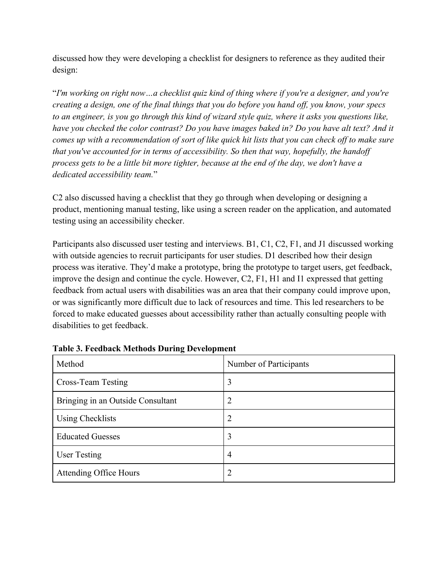discussed how they were developing a checklist for designers to reference as they audited their design:

"*I'm working on right now…a checklist quiz kind of thing where if you're a designer, and you're creating a design, one of the final things that you do before you hand off, you know, your specs to an engineer, is you go through this kind of wizard style quiz, where it asks you questions like, have you checked the color contrast? Do you have images baked in? Do you have alt text? And it comes up with a recommendation of sort of like quick hit lists that you can check off to make sure that you've accounted for in terms of accessibility. So then that way, hopefully, the handoff process gets to be a little bit more tighter, because at the end of the day, we don't have a dedicated accessibility team.*"

C2 also discussed having a checklist that they go through when developing or designing a product, mentioning manual testing, like using a screen reader on the application, and automated testing using an accessibility checker.

Participants also discussed user testing and interviews. B1, C1, C2, F1, and J1 discussed working with outside agencies to recruit participants for user studies. D1 described how their design process was iterative. They'd make a prototype, bring the prototype to target users, get feedback, improve the design and continue the cycle. However, C2, F1, H1 and I1 expressed that getting feedback from actual users with disabilities was an area that their company could improve upon, or was significantly more difficult due to lack of resources and time. This led researchers to be forced to make educated guesses about accessibility rather than actually consulting people with disabilities to get feedback.

| Method                            | Number of Participants |
|-----------------------------------|------------------------|
| Cross-Team Testing                | 3                      |
| Bringing in an Outside Consultant | 2                      |
| <b>Using Checklists</b>           | 2                      |
| <b>Educated Guesses</b>           | 3                      |
| <b>User Testing</b>               | $\overline{4}$         |
| <b>Attending Office Hours</b>     | 2                      |

**Table 3. Feedback Methods During Development**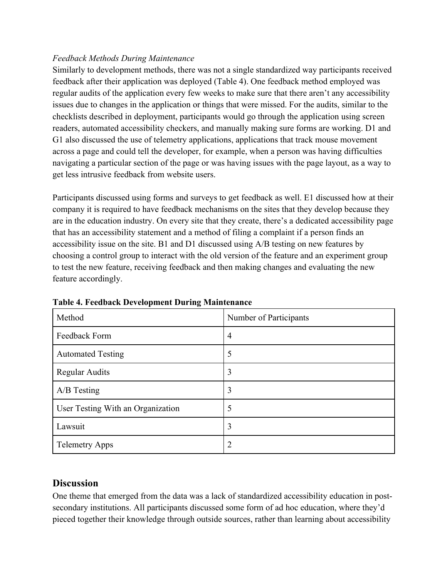### *Feedback Methods During Maintenance*

Similarly to development methods, there was not a single standardized way participants received feedback after their application was deployed (Table 4). One feedback method employed was regular audits of the application every few weeks to make sure that there aren't any accessibility issues due to changes in the application or things that were missed. For the audits, similar to the checklists described in deployment, participants would go through the application using screen readers, automated accessibility checkers, and manually making sure forms are working. D1 and G1 also discussed the use of telemetry applications, applications that track mouse movement across a page and could tell the developer, for example, when a person was having difficulties navigating a particular section of the page or was having issues with the page layout, as a way to get less intrusive feedback from website users.

Participants discussed using forms and surveys to get feedback as well. E1 discussed how at their company it is required to have feedback mechanisms on the sites that they develop because they are in the education industry. On every site that they create, there's a dedicated accessibility page that has an accessibility statement and a method of filing a complaint if a person finds an accessibility issue on the site. B1 and D1 discussed using A/B testing on new features by choosing a control group to interact with the old version of the feature and an experiment group to test the new feature, receiving feedback and then making changes and evaluating the new feature accordingly.

| Method                            | Number of Participants |
|-----------------------------------|------------------------|
| Feedback Form                     | $\overline{4}$         |
| <b>Automated Testing</b>          | 5                      |
| <b>Regular Audits</b>             | 3                      |
| $A/B$ Testing                     | 3                      |
| User Testing With an Organization | 5                      |
| Lawsuit                           | 3                      |
| <b>Telemetry Apps</b>             | 2                      |

**Table 4. Feedback Development During Maintenance**

## **Discussion**

One theme that emerged from the data was a lack of standardized accessibility education in postsecondary institutions. All participants discussed some form of ad hoc education, where they'd pieced together their knowledge through outside sources, rather than learning about accessibility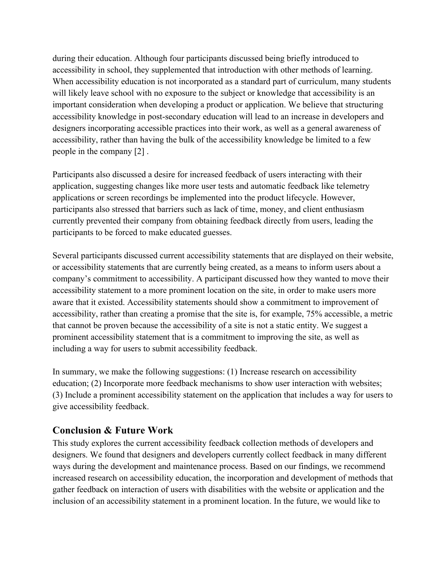during their education. Although four participants discussed being briefly introduced to accessibility in school, they supplemented that introduction with other methods of learning. When accessibility education is not incorporated as a standard part of curriculum, many students will likely leave school with no exposure to the subject or knowledge that accessibility is an important consideration when developing a product or application. We believe that structuring accessibility knowledge in post-secondary education will lead to an increase in developers and designers incorporating accessible practices into their work, as well as a general awareness of accessibility, rather than having the bulk of the accessibility knowledge be limited to a few people in the company [2] .

Participants also discussed a desire for increased feedback of users interacting with their application, suggesting changes like more user tests and automatic feedback like telemetry applications or screen recordings be implemented into the product lifecycle. However, participants also stressed that barriers such as lack of time, money, and client enthusiasm currently prevented their company from obtaining feedback directly from users, leading the participants to be forced to make educated guesses.

Several participants discussed current accessibility statements that are displayed on their website, or accessibility statements that are currently being created, as a means to inform users about a company's commitment to accessibility. A participant discussed how they wanted to move their accessibility statement to a more prominent location on the site, in order to make users more aware that it existed. Accessibility statements should show a commitment to improvement of accessibility, rather than creating a promise that the site is, for example, 75% accessible, a metric that cannot be proven because the accessibility of a site is not a static entity. We suggest a prominent accessibility statement that is a commitment to improving the site, as well as including a way for users to submit accessibility feedback.

In summary, we make the following suggestions: (1) Increase research on accessibility education; (2) Incorporate more feedback mechanisms to show user interaction with websites; (3) Include a prominent accessibility statement on the application that includes a way for users to give accessibility feedback.

## **Conclusion & Future Work**

This study explores the current accessibility feedback collection methods of developers and designers. We found that designers and developers currently collect feedback in many different ways during the development and maintenance process. Based on our findings, we recommend increased research on accessibility education, the incorporation and development of methods that gather feedback on interaction of users with disabilities with the website or application and the inclusion of an accessibility statement in a prominent location. In the future, we would like to